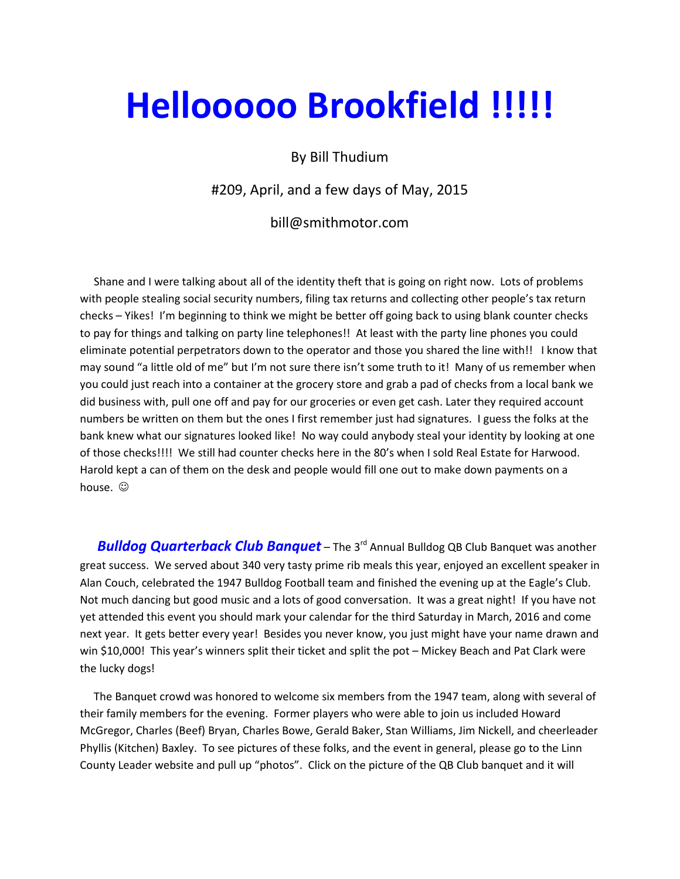## Hellooooo Brookfield !!!!!

## By Bill Thudium

#209, April, and a few days of May, 2015

bill@smithmotor.com

 Shane and I were talking about all of the identity theft that is going on right now. Lots of problems with people stealing social security numbers, filing tax returns and collecting other people's tax return checks – Yikes! I'm beginning to think we might be better off going back to using blank counter checks to pay for things and talking on party line telephones!! At least with the party line phones you could eliminate potential perpetrators down to the operator and those you shared the line with!! I know that may sound "a little old of me" but I'm not sure there isn't some truth to it! Many of us remember when you could just reach into a container at the grocery store and grab a pad of checks from a local bank we did business with, pull one off and pay for our groceries or even get cash. Later they required account numbers be written on them but the ones I first remember just had signatures. I guess the folks at the bank knew what our signatures looked like! No way could anybody steal your identity by looking at one of those checks!!!! We still had counter checks here in the 80's when I sold Real Estate for Harwood. Harold kept a can of them on the desk and people would fill one out to make down payments on a house.  $\odot$ 

**Bulldog Quarterback Club Banquet** – The 3<sup>rd</sup> Annual Bulldog QB Club Banquet was another great success. We served about 340 very tasty prime rib meals this year, enjoyed an excellent speaker in Alan Couch, celebrated the 1947 Bulldog Football team and finished the evening up at the Eagle's Club. Not much dancing but good music and a lots of good conversation. It was a great night! If you have not yet attended this event you should mark your calendar for the third Saturday in March, 2016 and come next year. It gets better every year! Besides you never know, you just might have your name drawn and win \$10,000! This year's winners split their ticket and split the pot – Mickey Beach and Pat Clark were the lucky dogs!

 The Banquet crowd was honored to welcome six members from the 1947 team, along with several of their family members for the evening. Former players who were able to join us included Howard McGregor, Charles (Beef) Bryan, Charles Bowe, Gerald Baker, Stan Williams, Jim Nickell, and cheerleader Phyllis (Kitchen) Baxley. To see pictures of these folks, and the event in general, please go to the Linn County Leader website and pull up "photos". Click on the picture of the QB Club banquet and it will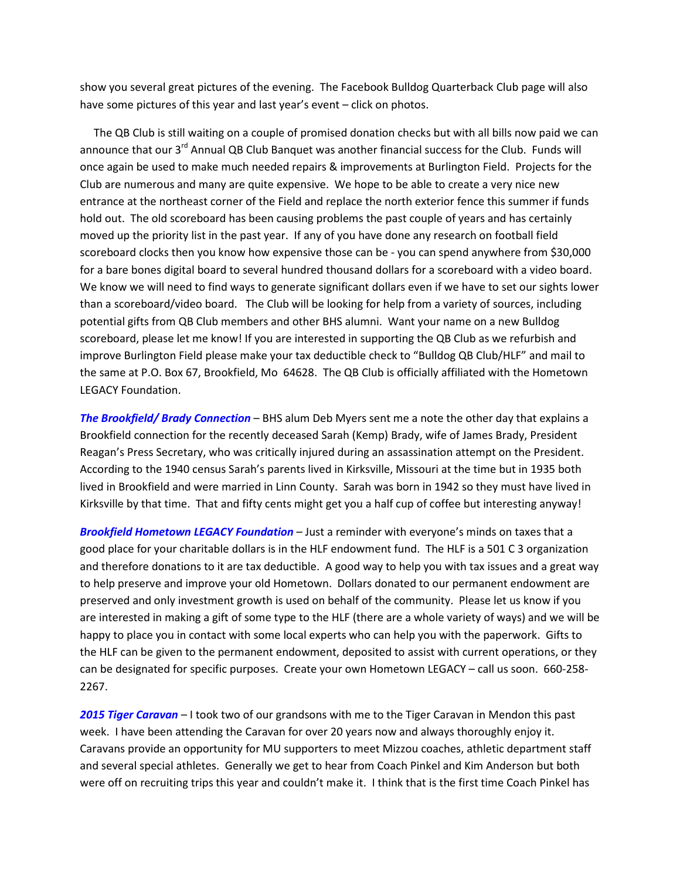show you several great pictures of the evening. The Facebook Bulldog Quarterback Club page will also have some pictures of this year and last year's event – click on photos.

 The QB Club is still waiting on a couple of promised donation checks but with all bills now paid we can announce that our 3<sup>rd</sup> Annual QB Club Banquet was another financial success for the Club. Funds will once again be used to make much needed repairs & improvements at Burlington Field. Projects for the Club are numerous and many are quite expensive. We hope to be able to create a very nice new entrance at the northeast corner of the Field and replace the north exterior fence this summer if funds hold out. The old scoreboard has been causing problems the past couple of years and has certainly moved up the priority list in the past year. If any of you have done any research on football field scoreboard clocks then you know how expensive those can be - you can spend anywhere from \$30,000 for a bare bones digital board to several hundred thousand dollars for a scoreboard with a video board. We know we will need to find ways to generate significant dollars even if we have to set our sights lower than a scoreboard/video board. The Club will be looking for help from a variety of sources, including potential gifts from QB Club members and other BHS alumni. Want your name on a new Bulldog scoreboard, please let me know! If you are interested in supporting the QB Club as we refurbish and improve Burlington Field please make your tax deductible check to "Bulldog QB Club/HLF" and mail to the same at P.O. Box 67, Brookfield, Mo 64628. The QB Club is officially affiliated with the Hometown LEGACY Foundation.

The Brookfield/ Brady Connection – BHS alum Deb Myers sent me a note the other day that explains a Brookfield connection for the recently deceased Sarah (Kemp) Brady, wife of James Brady, President Reagan's Press Secretary, who was critically injured during an assassination attempt on the President. According to the 1940 census Sarah's parents lived in Kirksville, Missouri at the time but in 1935 both lived in Brookfield and were married in Linn County. Sarah was born in 1942 so they must have lived in Kirksville by that time. That and fifty cents might get you a half cup of coffee but interesting anyway!

Brookfield Hometown LEGACY Foundation – Just a reminder with everyone's minds on taxes that a good place for your charitable dollars is in the HLF endowment fund. The HLF is a 501 C 3 organization and therefore donations to it are tax deductible. A good way to help you with tax issues and a great way to help preserve and improve your old Hometown. Dollars donated to our permanent endowment are preserved and only investment growth is used on behalf of the community. Please let us know if you are interested in making a gift of some type to the HLF (there are a whole variety of ways) and we will be happy to place you in contact with some local experts who can help you with the paperwork. Gifts to the HLF can be given to the permanent endowment, deposited to assist with current operations, or they can be designated for specific purposes. Create your own Hometown LEGACY – call us soon. 660-258- 2267.

2015 Tiger Caravan - I took two of our grandsons with me to the Tiger Caravan in Mendon this past week. I have been attending the Caravan for over 20 years now and always thoroughly enjoy it. Caravans provide an opportunity for MU supporters to meet Mizzou coaches, athletic department staff and several special athletes. Generally we get to hear from Coach Pinkel and Kim Anderson but both were off on recruiting trips this year and couldn't make it. I think that is the first time Coach Pinkel has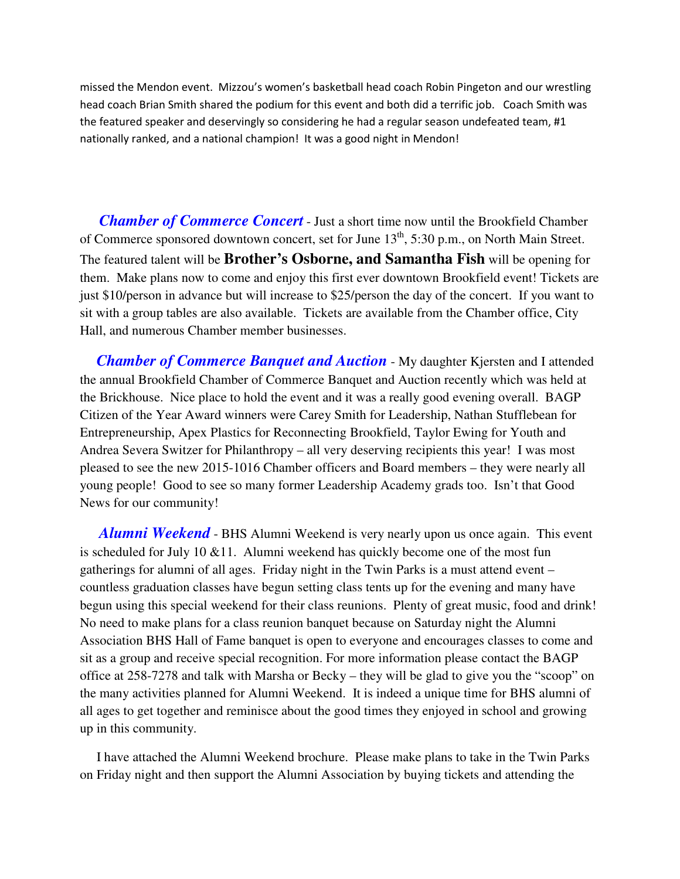missed the Mendon event. Mizzou's women's basketball head coach Robin Pingeton and our wrestling head coach Brian Smith shared the podium for this event and both did a terrific job. Coach Smith was the featured speaker and deservingly so considering he had a regular season undefeated team, #1 nationally ranked, and a national champion! It was a good night in Mendon!

 *Chamber of Commerce Concert* - Just a short time now until the Brookfield Chamber of Commerce sponsored downtown concert, set for June  $13<sup>th</sup>$ , 5:30 p.m., on North Main Street. The featured talent will be **Brother's Osborne, and Samantha Fish** will be opening for them. Make plans now to come and enjoy this first ever downtown Brookfield event! Tickets are just \$10/person in advance but will increase to \$25/person the day of the concert. If you want to sit with a group tables are also available. Tickets are available from the Chamber office, City Hall, and numerous Chamber member businesses.

 *Chamber of Commerce Banquet and Auction* - My daughter Kjersten and I attended the annual Brookfield Chamber of Commerce Banquet and Auction recently which was held at the Brickhouse. Nice place to hold the event and it was a really good evening overall. BAGP Citizen of the Year Award winners were Carey Smith for Leadership, Nathan Stufflebean for Entrepreneurship, Apex Plastics for Reconnecting Brookfield, Taylor Ewing for Youth and Andrea Severa Switzer for Philanthropy – all very deserving recipients this year! I was most pleased to see the new 2015-1016 Chamber officers and Board members – they were nearly all young people! Good to see so many former Leadership Academy grads too. Isn't that Good News for our community!

 *Alumni Weekend* - BHS Alumni Weekend is very nearly upon us once again. This event is scheduled for July 10  $&11$ . Alumni weekend has quickly become one of the most fun gatherings for alumni of all ages. Friday night in the Twin Parks is a must attend event – countless graduation classes have begun setting class tents up for the evening and many have begun using this special weekend for their class reunions. Plenty of great music, food and drink! No need to make plans for a class reunion banquet because on Saturday night the Alumni Association BHS Hall of Fame banquet is open to everyone and encourages classes to come and sit as a group and receive special recognition. For more information please contact the BAGP office at 258-7278 and talk with Marsha or Becky – they will be glad to give you the "scoop" on the many activities planned for Alumni Weekend. It is indeed a unique time for BHS alumni of all ages to get together and reminisce about the good times they enjoyed in school and growing up in this community.

 I have attached the Alumni Weekend brochure. Please make plans to take in the Twin Parks on Friday night and then support the Alumni Association by buying tickets and attending the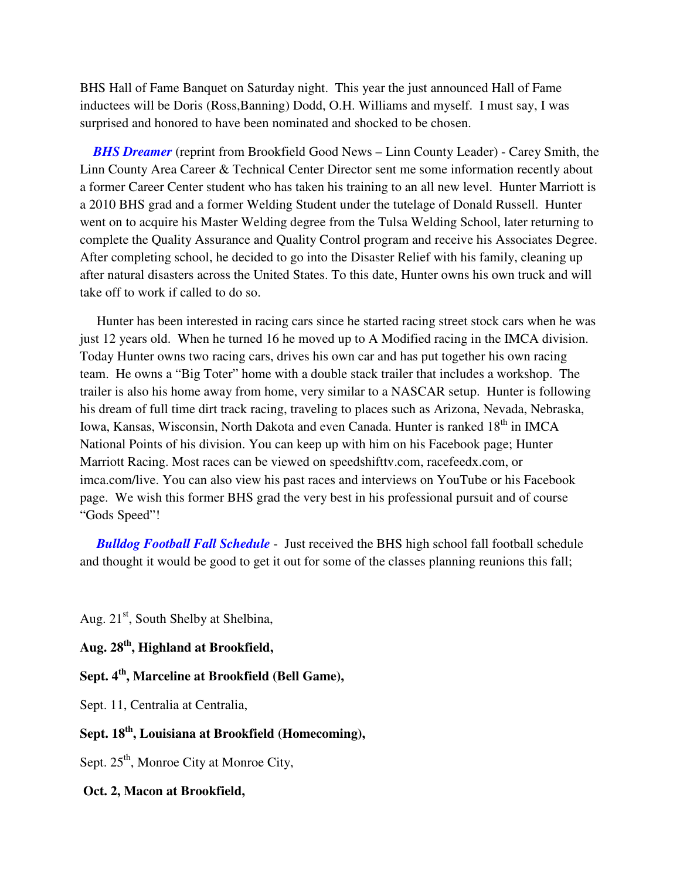BHS Hall of Fame Banquet on Saturday night. This year the just announced Hall of Fame inductees will be Doris (Ross,Banning) Dodd, O.H. Williams and myself. I must say, I was surprised and honored to have been nominated and shocked to be chosen.

 *BHS Dreamer* (reprint from Brookfield Good News – Linn County Leader) - Carey Smith, the Linn County Area Career & Technical Center Director sent me some information recently about a former Career Center student who has taken his training to an all new level. Hunter Marriott is a 2010 BHS grad and a former Welding Student under the tutelage of Donald Russell. Hunter went on to acquire his Master Welding degree from the Tulsa Welding School, later returning to complete the Quality Assurance and Quality Control program and receive his Associates Degree. After completing school, he decided to go into the Disaster Relief with his family, cleaning up after natural disasters across the United States. To this date, Hunter owns his own truck and will take off to work if called to do so.

 Hunter has been interested in racing cars since he started racing street stock cars when he was just 12 years old. When he turned 16 he moved up to A Modified racing in the IMCA division. Today Hunter owns two racing cars, drives his own car and has put together his own racing team. He owns a "Big Toter" home with a double stack trailer that includes a workshop. The trailer is also his home away from home, very similar to a NASCAR setup. Hunter is following his dream of full time dirt track racing, traveling to places such as Arizona, Nevada, Nebraska, Iowa, Kansas, Wisconsin, North Dakota and even Canada. Hunter is ranked 18<sup>th</sup> in IMCA National Points of his division. You can keep up with him on his Facebook page; Hunter Marriott Racing. Most races can be viewed on speedshifttv.com, racefeedx.com, or imca.com/live. You can also view his past races and interviews on YouTube or his Facebook page. We wish this former BHS grad the very best in his professional pursuit and of course "Gods Speed"!

 *Bulldog Football Fall Schedule* - Just received the BHS high school fall football schedule and thought it would be good to get it out for some of the classes planning reunions this fall;

Aug.  $21<sup>st</sup>$ , South Shelby at Shelbina,

**Aug. 28th, Highland at Brookfield,** 

**Sept. 4th, Marceline at Brookfield (Bell Game),** 

Sept. 11, Centralia at Centralia,

## **Sept. 18th, Louisiana at Brookfield (Homecoming),**

Sept. 25<sup>th</sup>, Monroe City at Monroe City,

 **Oct. 2, Macon at Brookfield,**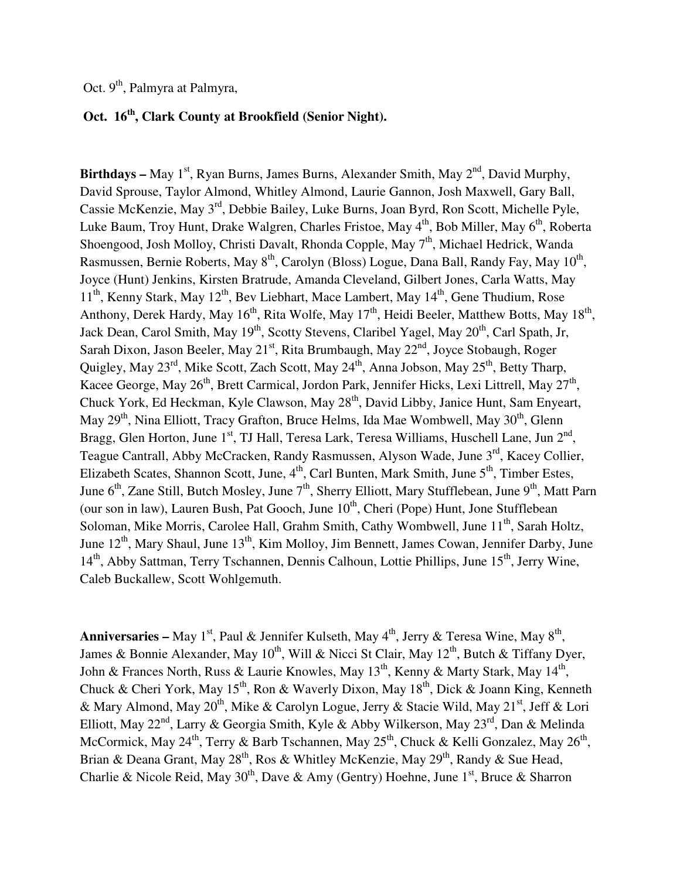Oct. 9<sup>th</sup>, Palmyra at Palmyra,

## **Oct. 16th, Clark County at Brookfield (Senior Night).**

**Birthdays –** May  $1^{st}$ , Ryan Burns, James Burns, Alexander Smith, May  $2^{nd}$ , David Murphy, David Sprouse, Taylor Almond, Whitley Almond, Laurie Gannon, Josh Maxwell, Gary Ball, Cassie McKenzie, May 3rd, Debbie Bailey, Luke Burns, Joan Byrd, Ron Scott, Michelle Pyle, Luke Baum, Troy Hunt, Drake Walgren, Charles Fristoe, May  $4<sup>th</sup>$ , Bob Miller, May  $6<sup>th</sup>$ , Roberta Shoengood, Josh Molloy, Christi Davalt, Rhonda Copple, May 7<sup>th</sup>, Michael Hedrick, Wanda Rasmussen, Bernie Roberts, May 8<sup>th</sup>, Carolyn (Bloss) Logue, Dana Ball, Randy Fay, May 10<sup>th</sup>, Joyce (Hunt) Jenkins, Kirsten Bratrude, Amanda Cleveland, Gilbert Jones, Carla Watts, May  $11<sup>th</sup>$ , Kenny Stark, May  $12<sup>th</sup>$ , Bev Liebhart, Mace Lambert, May  $14<sup>th</sup>$ , Gene Thudium, Rose Anthony, Derek Hardy, May 16<sup>th</sup>, Rita Wolfe, May 17<sup>th</sup>, Heidi Beeler, Matthew Botts, May 18<sup>th</sup>, Jack Dean, Carol Smith, May 19<sup>th</sup>, Scotty Stevens, Claribel Yagel, May 20<sup>th</sup>, Carl Spath, Jr, Sarah Dixon, Jason Beeler, May 21<sup>st</sup>, Rita Brumbaugh, May 22<sup>nd</sup>, Joyce Stobaugh, Roger Quigley, May 23<sup>rd</sup>, Mike Scott, Zach Scott, May 24<sup>th</sup>, Anna Jobson, May 25<sup>th</sup>, Betty Tharp, Kacee George, May 26<sup>th</sup>, Brett Carmical, Jordon Park, Jennifer Hicks, Lexi Littrell, May 27<sup>th</sup>, Chuck York, Ed Heckman, Kyle Clawson, May 28<sup>th</sup>, David Libby, Janice Hunt, Sam Enyeart, May 29<sup>th</sup>, Nina Elliott, Tracy Grafton, Bruce Helms, Ida Mae Wombwell, May 30<sup>th</sup>, Glenn Bragg, Glen Horton, June 1<sup>st</sup>, TJ Hall, Teresa Lark, Teresa Williams, Huschell Lane, Jun 2<sup>nd</sup>, Teague Cantrall, Abby McCracken, Randy Rasmussen, Alyson Wade, June 3<sup>rd</sup>, Kacey Collier, Elizabeth Scates, Shannon Scott, June,  $4<sup>th</sup>$ , Carl Bunten, Mark Smith, June  $5<sup>th</sup>$ , Timber Estes, June  $6<sup>th</sup>$ , Zane Still, Butch Mosley, June  $7<sup>th</sup>$ , Sherry Elliott, Mary Stufflebean, June  $9<sup>th</sup>$ , Matt Parn (our son in law), Lauren Bush, Pat Gooch, June  $10^{th}$ , Cheri (Pope) Hunt, Jone Stufflebean Soloman, Mike Morris, Carolee Hall, Grahm Smith, Cathy Wombwell, June 11<sup>th</sup>, Sarah Holtz, June  $12^{th}$ , Mary Shaul, June  $13^{th}$ , Kim Molloy, Jim Bennett, James Cowan, Jennifer Darby, June 14<sup>th</sup>, Abby Sattman, Terry Tschannen, Dennis Calhoun, Lottie Phillips, June 15<sup>th</sup>, Jerry Wine, Caleb Buckallew, Scott Wohlgemuth.

Anniversaries – May 1<sup>st</sup>, Paul & Jennifer Kulseth, May 4<sup>th</sup>, Jerry & Teresa Wine, May 8<sup>th</sup>, James & Bonnie Alexander, May  $10^{th}$ , Will & Nicci St Clair, May  $12^{th}$ , Butch & Tiffany Dyer, John & Frances North, Russ & Laurie Knowles, May 13<sup>th</sup>, Kenny & Marty Stark, May 14<sup>th</sup>, Chuck & Cheri York, May 15<sup>th</sup>, Ron & Waverly Dixon, May 18<sup>th</sup>, Dick & Joann King, Kenneth & Mary Almond, May 20<sup>th</sup>, Mike & Carolyn Logue, Jerry & Stacie Wild, May 21<sup>st</sup>, Jeff & Lori Elliott, May 22<sup>nd</sup>, Larry & Georgia Smith, Kyle & Abby Wilkerson, May 23<sup>rd</sup>, Dan & Melinda McCormick, May 24<sup>th</sup>, Terry & Barb Tschannen, May 25<sup>th</sup>, Chuck & Kelli Gonzalez, May 26<sup>th</sup>, Brian & Deana Grant, May 28<sup>th</sup>, Ros & Whitley McKenzie, May 29<sup>th</sup>, Randy & Sue Head, Charlie & Nicole Reid, May  $30<sup>th</sup>$ , Dave & Amy (Gentry) Hoehne, June  $1<sup>st</sup>$ , Bruce & Sharron